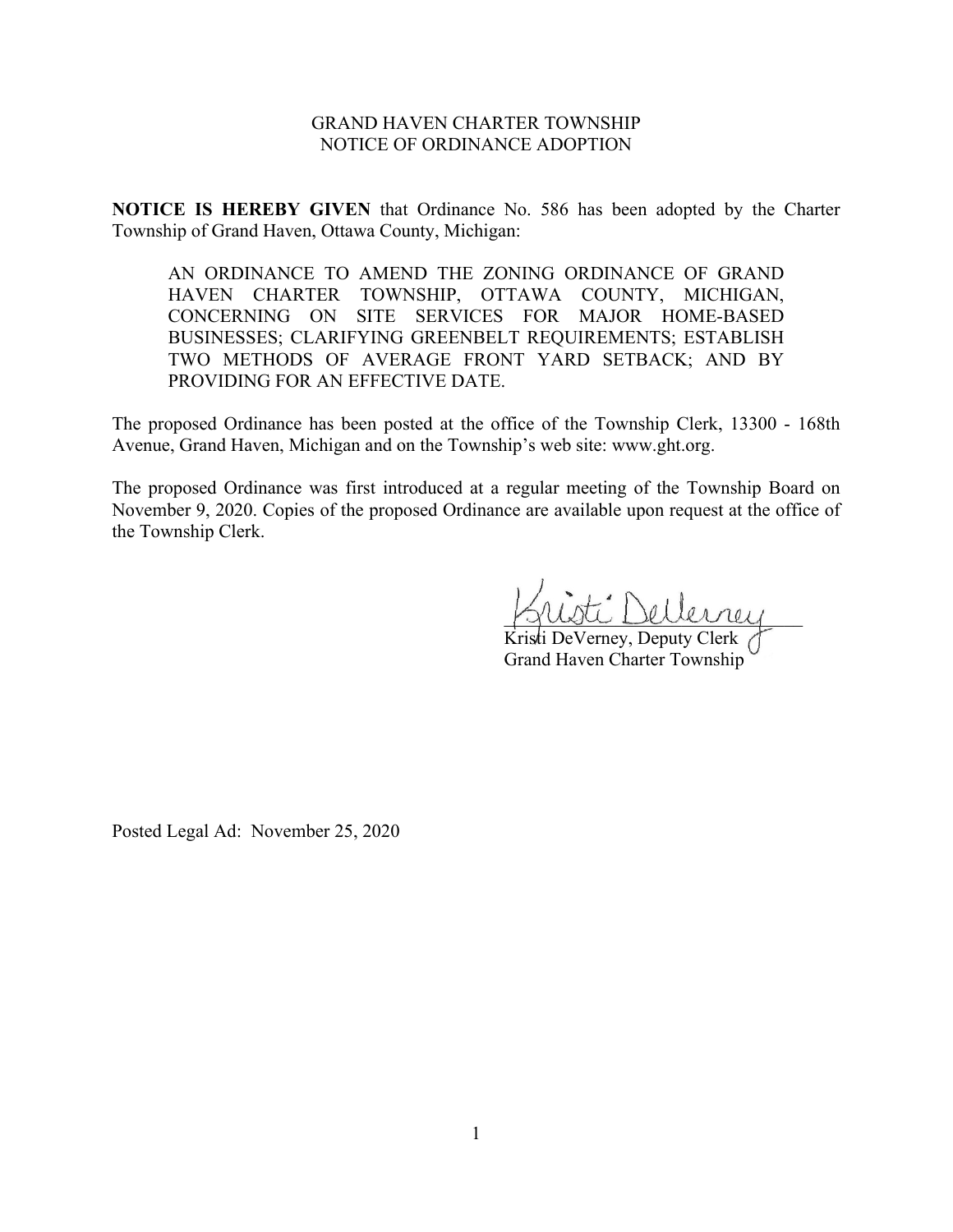## GRAND HAVEN CHARTER TOWNSHIP NOTICE OF ORDINANCE ADOPTION

**NOTICE IS HEREBY GIVEN** that Ordinance No. 586 has been adopted by the Charter Township of Grand Haven, Ottawa County, Michigan:

AN ORDINANCE TO AMEND THE ZONING ORDINANCE OF GRAND HAVEN CHARTER TOWNSHIP, OTTAWA COUNTY, MICHIGAN, CONCERNING ON SITE SERVICES FOR MAJOR HOME-BASED BUSINESSES; CLARIFYING GREENBELT REQUIREMENTS; ESTABLISH TWO METHODS OF AVERAGE FRONT YARD SETBACK; AND BY PROVIDING FOR AN EFFECTIVE DATE.

The proposed Ordinance has been posted at the office of the Township Clerk, 13300 - 168th Avenue, Grand Haven, Michigan and on the Township's web site: www.ght.org.

The proposed Ordinance was first introduced at a regular meeting of the Township Board on November 9, 2020. Copies of the proposed Ordinance are available upon request at the office of the Township Clerk.

ti Dellerrey

Kristi DeVerney, Deputy Clerk Grand Haven Charter Township

Posted Legal Ad: November 25, 2020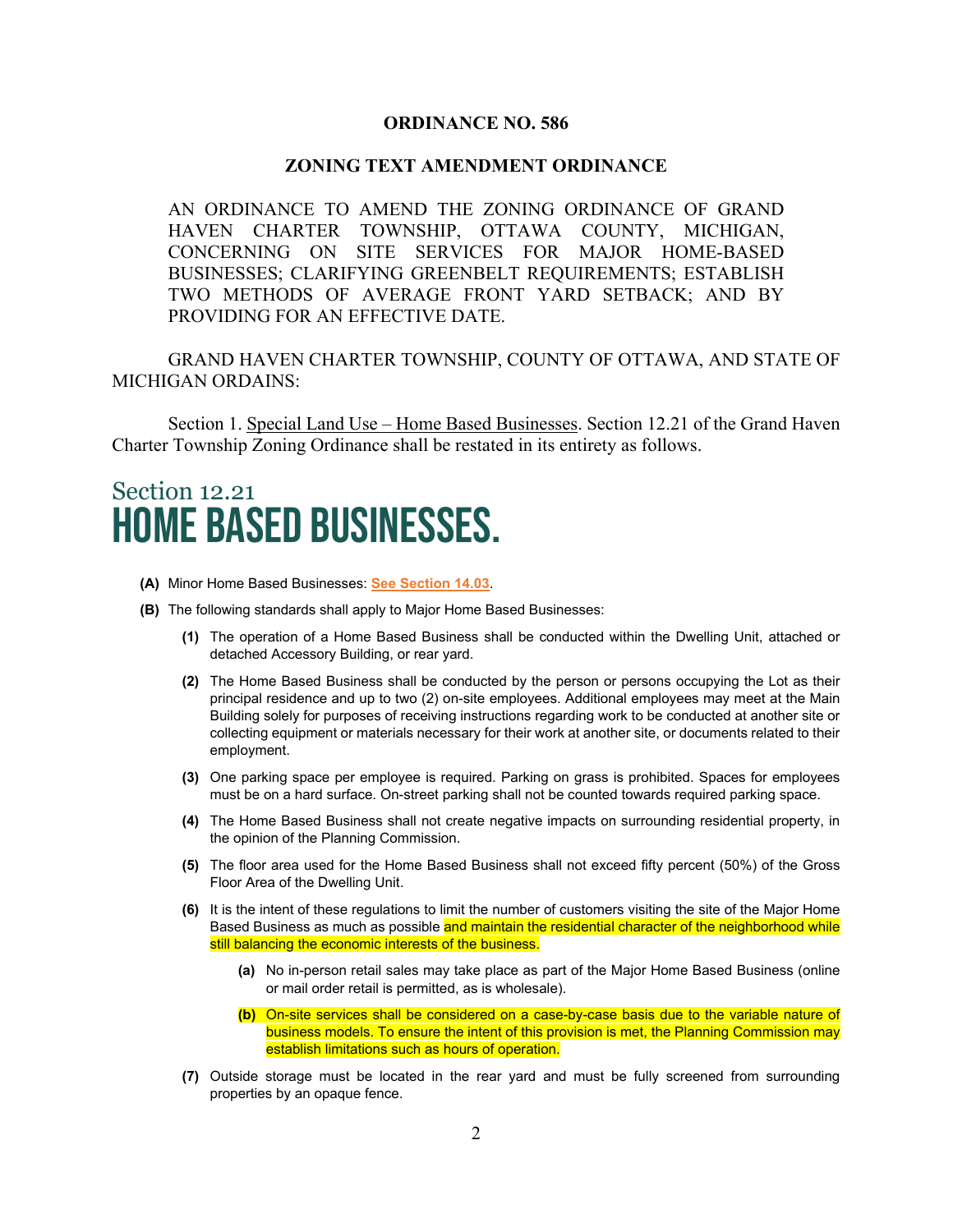### **ORDINANCE NO. 586**

### **ZONING TEXT AMENDMENT ORDINANCE**

AN ORDINANCE TO AMEND THE ZONING ORDINANCE OF GRAND HAVEN CHARTER TOWNSHIP, OTTAWA COUNTY, MICHIGAN, CONCERNING ON SITE SERVICES FOR MAJOR HOME-BASED BUSINESSES; CLARIFYING GREENBELT REQUIREMENTS; ESTABLISH TWO METHODS OF AVERAGE FRONT YARD SETBACK; AND BY PROVIDING FOR AN EFFECTIVE DATE.

GRAND HAVEN CHARTER TOWNSHIP, COUNTY OF OTTAWA, AND STATE OF MICHIGAN ORDAINS:

Section 1. Special Land Use – Home Based Businesses. Section 12.21 of the Grand Haven Charter Township Zoning Ordinance shall be restated in its entirety as follows.

# Section 12.21 Home Based Businesses.

- **(A)** Minor Home Based Businesses: **See Section 14.03**.
- **(B)** The following standards shall apply to Major Home Based Businesses:
	- **(1)** The operation of a Home Based Business shall be conducted within the Dwelling Unit, attached or detached Accessory Building, or rear yard.
	- **(2)** The Home Based Business shall be conducted by the person or persons occupying the Lot as their principal residence and up to two (2) on-site employees. Additional employees may meet at the Main Building solely for purposes of receiving instructions regarding work to be conducted at another site or collecting equipment or materials necessary for their work at another site, or documents related to their employment.
	- **(3)** One parking space per employee is required. Parking on grass is prohibited. Spaces for employees must be on a hard surface. On-street parking shall not be counted towards required parking space.
	- **(4)** The Home Based Business shall not create negative impacts on surrounding residential property, in the opinion of the Planning Commission.
	- **(5)** The floor area used for the Home Based Business shall not exceed fifty percent (50%) of the Gross Floor Area of the Dwelling Unit.
	- **(6)** It is the intent of these regulations to limit the number of customers visiting the site of the Major Home Based Business as much as possible and maintain the residential character of the neighborhood while still balancing the economic interests of the business.
		- **(a)** No in-person retail sales may take place as part of the Major Home Based Business (online or mail order retail is permitted, as is wholesale).
		- **(b)** On-site services shall be considered on a case-by-case basis due to the variable nature of business models. To ensure the intent of this provision is met, the Planning Commission may establish limitations such as hours of operation.
	- **(7)** Outside storage must be located in the rear yard and must be fully screened from surrounding properties by an opaque fence.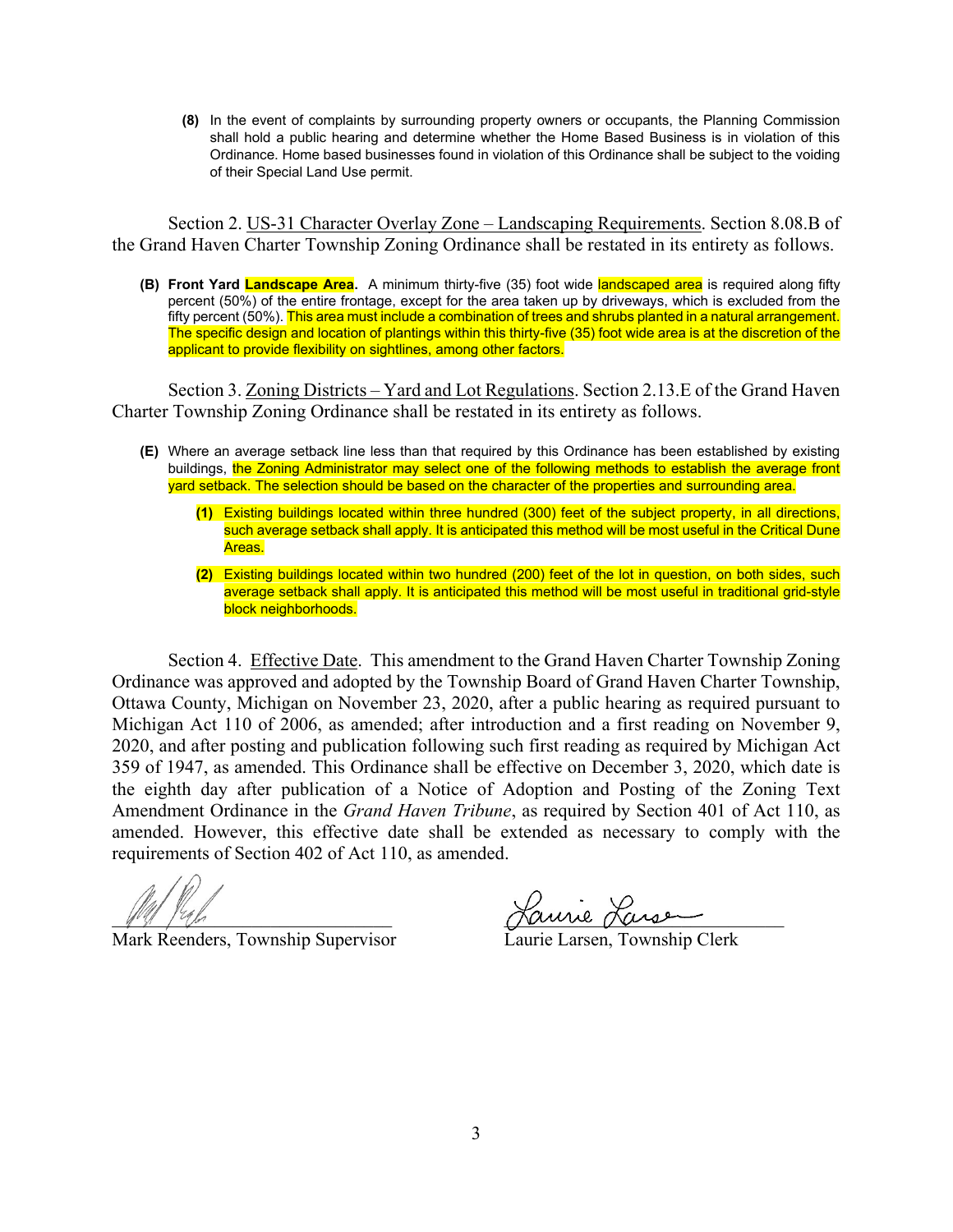**(8)** In the event of complaints by surrounding property owners or occupants, the Planning Commission shall hold a public hearing and determine whether the Home Based Business is in violation of this Ordinance. Home based businesses found in violation of this Ordinance shall be subject to the voiding of their Special Land Use permit.

Section 2. US-31 Character Overlay Zone – Landscaping Requirements. Section 8.08.B of the Grand Haven Charter Township Zoning Ordinance shall be restated in its entirety as follows.

**(B) Front Yard Landscape Area.** A minimum thirty-five (35) foot wide landscaped area is required along fifty percent (50%) of the entire frontage, except for the area taken up by driveways, which is excluded from the fifty percent (50%). This area must include a combination of trees and shrubs planted in a natural arrangement. The specific design and location of plantings within this thirty-five (35) foot wide area is at the discretion of the applicant to provide flexibility on sightlines, among other factors.

Section 3. Zoning Districts – Yard and Lot Regulations. Section 2.13.E of the Grand Haven Charter Township Zoning Ordinance shall be restated in its entirety as follows.

- **(E)** Where an average setback line less than that required by this Ordinance has been established by existing buildings, the Zoning Administrator may select one of the following methods to establish the average front yard setback. The selection should be based on the character of the properties and surrounding area.
	- **(1)** Existing buildings located within three hundred (300) feet of the subject property, in all directions, such average setback shall apply. It is anticipated this method will be most useful in the Critical Dune Areas.
	- **(2)** Existing buildings located within two hundred (200) feet of the lot in question, on both sides, such average setback shall apply. It is anticipated this method will be most useful in traditional grid-style block neighborhoods.

Section 4. Effective Date. This amendment to the Grand Haven Charter Township Zoning Ordinance was approved and adopted by the Township Board of Grand Haven Charter Township, Ottawa County, Michigan on November 23, 2020, after a public hearing as required pursuant to Michigan Act 110 of 2006, as amended; after introduction and a first reading on November 9, 2020, and after posting and publication following such first reading as required by Michigan Act 359 of 1947, as amended. This Ordinance shall be effective on December 3, 2020, which date is the eighth day after publication of a Notice of Adoption and Posting of the Zoning Text Amendment Ordinance in the *Grand Haven Tribune*, as required by Section 401 of Act 110, as amended. However, this effective date shall be extended as necessary to comply with the requirements of Section 402 of Act 110, as amended.

Mark Reenders, Township Supervisor

Laurie Lansen<br>Laurie Larsen, Township Clerk